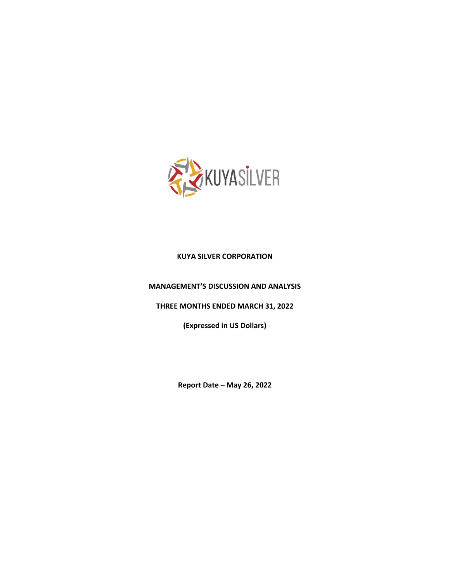

# **KUYA SILVER CORPORATION**

### **MANAGEMENT'S DISCUSSION AND ANALYSIS**

**THREE MONTHS ENDED MARCH 31, 2022**

**(Expressed in US Dollars)**

**Report Date – May 26, 2022**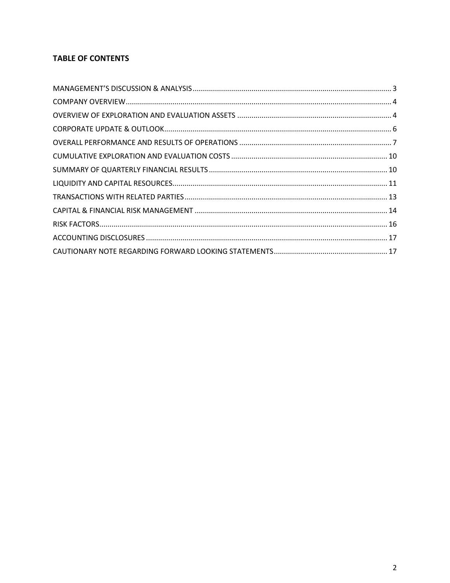# **TABLE OF CONTENTS**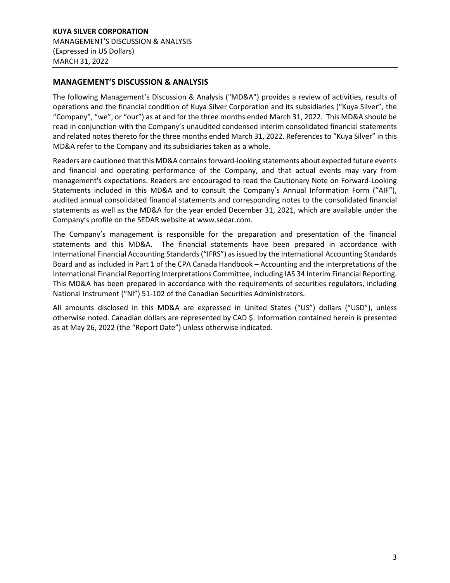# <span id="page-2-0"></span>**MANAGEMENT'S DISCUSSION & ANALYSIS**

The following Management's Discussion & Analysis ("MD&A") provides a review of activities, results of operations and the financial condition of Kuya Silver Corporation and its subsidiaries ("Kuya Silver", the "Company", "we", or "our") as at and for the three months ended March 31, 2022. This MD&A should be read in conjunction with the Company's unaudited condensed interim consolidated financial statements and related notes thereto for the three months ended March 31, 2022. References to "Kuya Silver" in this MD&A refer to the Company and its subsidiaries taken as a whole.

Readers are cautioned that this MD&A contains forward-looking statements about expected future events and financial and operating performance of the Company, and that actual events may vary from management's expectations. Readers are encouraged to read the Cautionary Note on Forward-Looking Statements included in this MD&A and to consult the Company's Annual Information Form ("AIF"), audited annual consolidated financial statements and corresponding notes to the consolidated financial statements as well as the MD&A for the year ended December 31, 2021, which are available under the Company's profile on the SEDAR website at www.sedar.com.

The Company's management is responsible for the preparation and presentation of the financial statements and this MD&A. The financial statements have been prepared in accordance with International Financial Accounting Standards ("IFRS") as issued by the International Accounting Standards Board and as included in Part 1 of the CPA Canada Handbook – Accounting and the interpretations of the International Financial Reporting Interpretations Committee, including IAS 34 Interim Financial Reporting. This MD&A has been prepared in accordance with the requirements of securities regulators, including National Instrument ("NI") 51-102 of the Canadian Securities Administrators.

All amounts disclosed in this MD&A are expressed in United States ("US") dollars ("USD"), unless otherwise noted. Canadian dollars are represented by CAD \$. Information contained herein is presented as at May 26, 2022 (the "Report Date") unless otherwise indicated.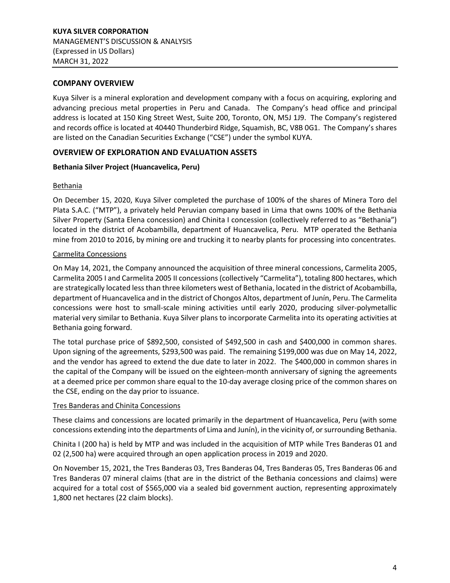### <span id="page-3-0"></span>**COMPANY OVERVIEW**

Kuya Silver is a mineral exploration and development company with a focus on acquiring, exploring and advancing precious metal properties in Peru and Canada. The Company's head office and principal address is located at 150 King Street West, Suite 200, Toronto, ON, M5J 1J9. The Company's registered and records office is located at 40440 Thunderbird Ridge, Squamish, BC, V8B 0G1. The Company's shares are listed on the Canadian Securities Exchange ("CSE") under the symbol KUYA.

# <span id="page-3-1"></span>**OVERVIEW OF EXPLORATION AND EVALUATION ASSETS**

### **Bethania Silver Project (Huancavelica, Peru)**

### Bethania

On December 15, 2020, Kuya Silver completed the purchase of 100% of the shares of Minera Toro del Plata S.A.C. ("MTP"), a privately held Peruvian company based in Lima that owns 100% of the Bethania Silver Property (Santa Elena concession) and Chinita I concession (collectively referred to as "Bethania") located in the district of Acobambilla, department of Huancavelica, Peru. MTP operated the Bethania mine from 2010 to 2016, by mining ore and trucking it to nearby plants for processing into concentrates.

### Carmelita Concessions

On May 14, 2021, the Company announced the acquisition of three mineral concessions, Carmelita 2005, Carmelita 2005 I and Carmelita 2005 II concessions (collectively "Carmelita"), totaling 800 hectares, which are strategically located less than three kilometers west of Bethania, located in the district of Acobambilla, department of Huancavelica and in the district of Chongos Altos, department of Junín, Peru. The Carmelita concessions were host to small-scale mining activities until early 2020, producing silver-polymetallic material very similar to Bethania. Kuya Silver plans to incorporate Carmelita into its operating activities at Bethania going forward.

The total purchase price of \$892,500, consisted of \$492,500 in cash and \$400,000 in common shares. Upon signing of the agreements, \$293,500 was paid. The remaining \$199,000 was due on May 14, 2022, and the vendor has agreed to extend the due date to later in 2022. The \$400,000 in common shares in the capital of the Company will be issued on the eighteen-month anniversary of signing the agreements at a deemed price per common share equal to the 10-day average closing price of the common shares on the CSE, ending on the day prior to issuance.

### Tres Banderas and Chinita Concessions

These claims and concessions are located primarily in the department of Huancavelica, Peru (with some concessions extending into the departments of Lima and Junín), in the vicinity of, or surrounding Bethania.

Chinita I (200 ha) is held by MTP and was included in the acquisition of MTP while Tres Banderas 01 and 02 (2,500 ha) were acquired through an open application process in 2019 and 2020.

On November 15, 2021, the Tres Banderas 03, Tres Banderas 04, Tres Banderas 05, Tres Banderas 06 and Tres Banderas 07 mineral claims (that are in the district of the Bethania concessions and claims) were acquired for a total cost of \$565,000 via a sealed bid government auction, representing approximately 1,800 net hectares (22 claim blocks).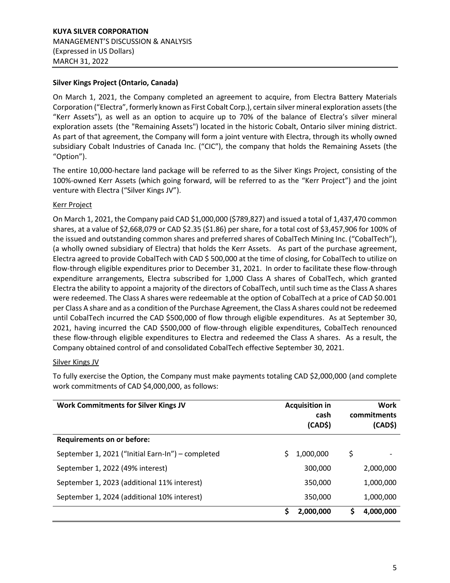#### **Silver Kings Project (Ontario, Canada)**

On March 1, 2021, the Company completed an agreement to acquire, from Electra Battery Materials Corporation ("Electra", formerly known as First Cobalt Corp.), certain silver mineral exploration assets (the "Kerr Assets"), as well as an option to acquire up to 70% of the balance of Electra's silver mineral exploration assets (the "Remaining Assets") located in the historic Cobalt, Ontario silver mining district. As part of that agreement, the Company will form a joint venture with Electra, through its wholly owned subsidiary Cobalt Industries of Canada Inc. ("CIC"), the company that holds the Remaining Assets (the "Option").

The entire 10,000-hectare land package will be referred to as the Silver Kings Project, consisting of the 100%-owned Kerr Assets (which going forward, will be referred to as the "Kerr Project") and the joint venture with Electra ("Silver Kings JV").

#### Kerr Project

On March 1, 2021, the Company paid CAD \$1,000,000 (\$789,827) and issued a total of 1,437,470 common shares, at a value of \$2,668,079 or CAD \$2.35 (\$1.86) per share, for a total cost of \$3,457,906 for 100% of the issued and outstanding common shares and preferred shares of CobalTech Mining Inc. ("CobalTech"), (a wholly owned subsidiary of Electra) that holds the Kerr Assets. As part of the purchase agreement, Electra agreed to provide CobalTech with CAD \$ 500,000 at the time of closing, for CobalTech to utilize on flow-through eligible expenditures prior to December 31, 2021. In order to facilitate these flow-through expenditure arrangements, Electra subscribed for 1,000 Class A shares of CobalTech, which granted Electra the ability to appoint a majority of the directors of CobalTech, until such time as the Class A shares were redeemed. The Class A shares were redeemable at the option of CobalTech at a price of CAD \$0.001 per Class A share and as a condition of the Purchase Agreement, the Class A shares could not be redeemed until CobalTech incurred the CAD \$500,000 of flow through eligible expenditures. As at September 30, 2021, having incurred the CAD \$500,000 of flow-through eligible expenditures, CobalTech renounced these flow-through eligible expenditures to Electra and redeemed the Class A shares. As a result, the Company obtained control of and consolidated CobalTech effective September 30, 2021.

#### Silver Kings JV

To fully exercise the Option, the Company must make payments totaling CAD \$2,000,000 (and complete work commitments of CAD \$4,000,000, as follows:

| <b>Work Commitments for Silver Kings JV</b>       | <b>Acquisition in</b><br>cash<br>(CAD\$) | <b>Work</b><br>commitments<br>(CAD\$) |
|---------------------------------------------------|------------------------------------------|---------------------------------------|
| <b>Requirements on or before:</b>                 |                                          |                                       |
| September 1, 2021 ("Initial Earn-In") - completed | S.<br>1,000,000                          | \$                                    |
| September 1, 2022 (49% interest)                  | 300,000                                  | 2,000,000                             |
| September 1, 2023 (additional 11% interest)       | 350,000                                  | 1,000,000                             |
| September 1, 2024 (additional 10% interest)       | 350,000                                  | 1,000,000                             |
|                                                   | Ś<br>2,000,000                           | 4,000,000<br>S                        |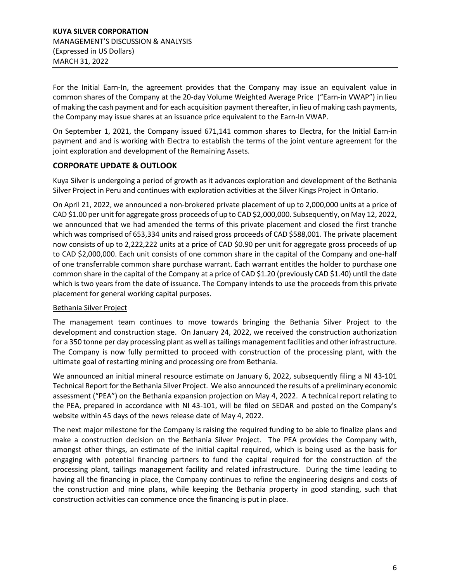For the Initial Earn-In, the agreement provides that the Company may issue an equivalent value in common shares of the Company at the 20-day Volume Weighted Average Price ("Earn-in VWAP") in lieu of making the cash payment and for each acquisition payment thereafter, in lieu of making cash payments, the Company may issue shares at an issuance price equivalent to the Earn-In VWAP.

On September 1, 2021, the Company issued 671,141 common shares to Electra, for the Initial Earn-in payment and and is working with Electra to establish the terms of the joint venture agreement for the joint exploration and development of the Remaining Assets.

# <span id="page-5-0"></span>**CORPORATE UPDATE & OUTLOOK**

Kuya Silver is undergoing a period of growth as it advances exploration and development of the Bethania Silver Project in Peru and continues with exploration activities at the Silver Kings Project in Ontario.

On April 21, 2022, we announced a non-brokered private placement of up to 2,000,000 units at a price of CAD \$1.00 per unit for aggregate gross proceeds of up to CAD \$2,000,000. Subsequently, on May 12, 2022, we announced that we had amended the terms of this private placement and closed the first tranche which was comprised of 653,334 units and raised gross proceeds of CAD \$588,001. The private placement now consists of up to 2,222,222 units at a price of CAD \$0.90 per unit for aggregate gross proceeds of up to CAD \$2,000,000. Each unit consists of one common share in the capital of the Company and one-half of one transferrable common share purchase warrant. Each warrant entitles the holder to purchase one common share in the capital of the Company at a price of CAD \$1.20 (previously CAD \$1.40) until the date which is two years from the date of issuance. The Company intends to use the proceeds from this private placement for general working capital purposes.

# Bethania Silver Project

The management team continues to move towards bringing the Bethania Silver Project to the development and construction stage. On January 24, 2022, we received the construction authorization for a 350 tonne per day processing plant as well as tailings management facilities and other infrastructure. The Company is now fully permitted to proceed with construction of the processing plant, with the ultimate goal of restarting mining and processing ore from Bethania.

We announced an initial mineral resource estimate on January 6, 2022, subsequently filing a NI 43-101 Technical Report for the Bethania Silver Project. We also announced the results of a preliminary economic assessment ("PEA") on the Bethania expansion projection on May 4, 2022. A technical report relating to the PEA, prepared in accordance with NI 43-101, will be filed on SEDAR and posted on the Company's website within 45 days of the news release date of May 4, 2022.

The next major milestone for the Company is raising the required funding to be able to finalize plans and make a construction decision on the Bethania Silver Project. The PEA provides the Company with, amongst other things, an estimate of the initial capital required, which is being used as the basis for engaging with potential financing partners to fund the capital required for the construction of the processing plant, tailings management facility and related infrastructure. During the time leading to having all the financing in place, the Company continues to refine the engineering designs and costs of the construction and mine plans, while keeping the Bethania property in good standing, such that construction activities can commence once the financing is put in place.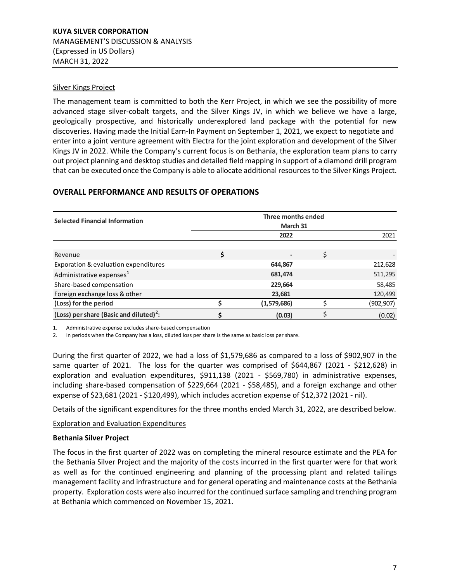### Silver Kings Project

The management team is committed to both the Kerr Project, in which we see the possibility of more advanced stage silver-cobalt targets, and the Silver Kings JV, in which we believe we have a large, geologically prospective, and historically underexplored land package with the potential for new discoveries. Having made the Initial Earn-In Payment on September 1, 2021, we expect to negotiate and enter into a joint venture agreement with Electra for the joint exploration and development of the Silver Kings JV in 2022. While the Company's current focus is on Bethania, the exploration team plans to carry out project planning and desktop studies and detailed field mapping in support of a diamond drill program that can be executed once the Company is able to allocate additional resources to the Silver Kings Project.

# <span id="page-6-0"></span>**OVERALL PERFORMANCE AND RESULTS OF OPERATIONS**

| <b>Selected Financial Information</b>               | Three months ended<br>March 31 |             |    |            |
|-----------------------------------------------------|--------------------------------|-------------|----|------------|
|                                                     |                                | 2022        |    | 2021       |
|                                                     |                                |             |    |            |
| Revenue                                             | \$                             |             | \$ |            |
| Exporation & evaluation expenditures                |                                | 644,867     |    | 212,628    |
| Administrative expenses <sup>1</sup>                |                                | 681,474     |    | 511,295    |
| Share-based compensation                            |                                | 229,664     |    | 58,485     |
| Foreign exchange loss & other                       |                                | 23,681      |    | 120,499    |
| (Loss) for the period                               |                                | (1,579,686) |    | (902, 907) |
| (Loss) per share (Basic and diluted) <sup>2</sup> : |                                | (0.03)      |    | (0.02)     |

1. Administrative expense excludes share-based compensation

2. In periods when the Company has a loss, diluted loss per share is the same as basic loss per share.

During the first quarter of 2022, we had a loss of \$1,579,686 as compared to a loss of \$902,907 in the same quarter of 2021. The loss for the quarter was comprised of \$644,867 (2021 - \$212,628) in exploration and evaluation expenditures, \$911,138 (2021 - \$569,780) in administrative expenses, including share-based compensation of \$229,664 (2021 - \$58,485), and a foreign exchange and other expense of \$23,681 (2021 - \$120,499), which includes accretion expense of \$12,372 (2021 - nil).

Details of the significant expenditures for the three months ended March 31, 2022, are described below.

### Exploration and Evaluation Expenditures

#### **Bethania Silver Project**

The focus in the first quarter of 2022 was on completing the mineral resource estimate and the PEA for the Bethania Silver Project and the majority of the costs incurred in the first quarter were for that work as well as for the continued engineering and planning of the processing plant and related tailings management facility and infrastructure and for general operating and maintenance costs at the Bethania property. Exploration costs were also incurred for the continued surface sampling and trenching program at Bethania which commenced on November 15, 2021.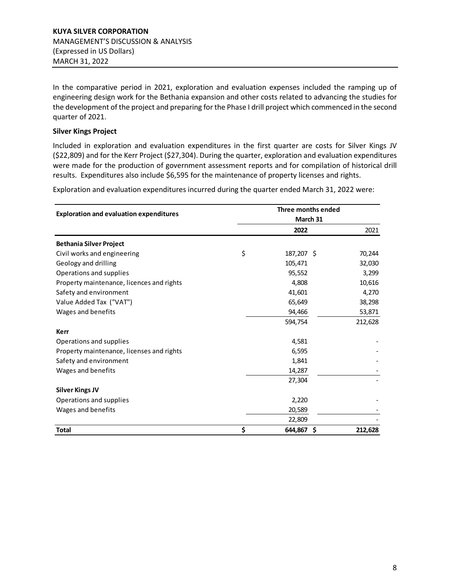In the comparative period in 2021, exploration and evaluation expenses included the ramping up of engineering design work for the Bethania expansion and other costs related to advancing the studies for the development of the project and preparing for the Phase I drill project which commenced in the second quarter of 2021.

### **Silver Kings Project**

Included in exploration and evaluation expenditures in the first quarter are costs for Silver Kings JV (\$22,809) and for the Kerr Project (\$27,304). During the quarter, exploration and evaluation expenditures were made for the production of government assessment reports and for compilation of historical drill results. Expenditures also include \$6,595 for the maintenance of property licenses and rights.

Exploration and evaluation expenditures incurred during the quarter ended March 31, 2022 were:

| <b>Exploration and evaluation expenditures</b> | Three months ended<br>March 31 |   |         |
|------------------------------------------------|--------------------------------|---|---------|
|                                                | 2022                           |   | 2021    |
| <b>Bethania Silver Project</b>                 |                                |   |         |
| Civil works and engineering                    | \$<br>187,207 \$               |   | 70,244  |
| Geology and drilling                           | 105,471                        |   | 32,030  |
| Operations and supplies                        | 95,552                         |   | 3,299   |
| Property maintenance, licences and rights      | 4,808                          |   | 10,616  |
| Safety and environment                         | 41,601                         |   | 4,270   |
| Value Added Tax ("VAT")                        | 65,649                         |   | 38,298  |
| Wages and benefits                             | 94,466                         |   | 53,871  |
|                                                | 594,754                        |   | 212,628 |
| Kerr                                           |                                |   |         |
| Operations and supplies                        | 4,581                          |   |         |
| Property maintenance, licenses and rights      | 6,595                          |   |         |
| Safety and environment                         | 1,841                          |   |         |
| Wages and benefits                             | 14,287                         |   |         |
|                                                | 27,304                         |   |         |
| <b>Silver Kings JV</b>                         |                                |   |         |
| Operations and supplies                        | 2,220                          |   |         |
| Wages and benefits                             | 20,589                         |   |         |
|                                                | 22,809                         |   |         |
| <b>Total</b>                                   | \$<br>644,867                  | Ŝ | 212,628 |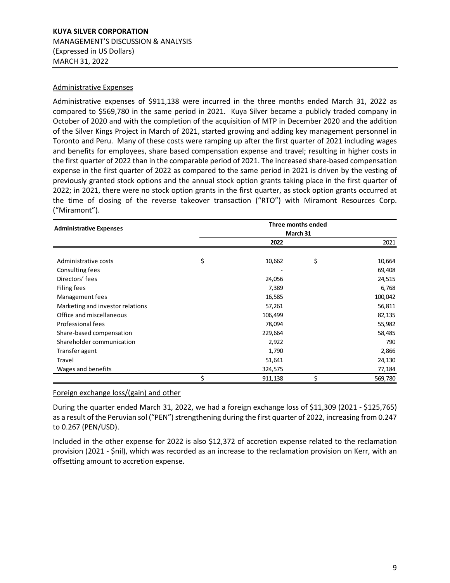#### Administrative Expenses

Administrative expenses of \$911,138 were incurred in the three months ended March 31, 2022 as compared to \$569,780 in the same period in 2021. Kuya Silver became a publicly traded company in October of 2020 and with the completion of the acquisition of MTP in December 2020 and the addition of the Silver Kings Project in March of 2021, started growing and adding key management personnel in Toronto and Peru. Many of these costs were ramping up after the first quarter of 2021 including wages and benefits for employees, share based compensation expense and travel; resulting in higher costs in the first quarter of 2022 than in the comparable period of 2021. The increased share-based compensation expense in the first quarter of 2022 as compared to the same period in 2021 is driven by the vesting of previously granted stock options and the annual stock option grants taking place in the first quarter of 2022; in 2021, there were no stock option grants in the first quarter, as stock option grants occurred at the time of closing of the reverse takeover transaction ("RTO") with Miramont Resources Corp. ("Miramont").

|                                  |               | Three months ended |         |
|----------------------------------|---------------|--------------------|---------|
| <b>Administrative Expenses</b>   |               | March 31           |         |
|                                  | 2022          |                    | 2021    |
|                                  |               |                    |         |
| Administrative costs             | \$<br>10,662  | \$                 | 10,664  |
| Consulting fees                  |               |                    | 69,408  |
| Directors' fees                  | 24,056        |                    | 24,515  |
| Filing fees                      | 7,389         |                    | 6,768   |
| Management fees                  | 16,585        |                    | 100,042 |
| Marketing and investor relations | 57,261        |                    | 56,811  |
| Office and miscellaneous         | 106,499       |                    | 82,135  |
| Professional fees                | 78,094        |                    | 55,982  |
| Share-based compensation         | 229,664       |                    | 58,485  |
| Shareholder communication        | 2,922         |                    | 790     |
| Transfer agent                   | 1,790         |                    | 2,866   |
| Travel                           | 51,641        |                    | 24,130  |
| Wages and benefits               | 324,575       |                    | 77,184  |
|                                  | \$<br>911,138 | Ś                  | 569,780 |

### Foreign exchange loss/(gain) and other

During the quarter ended March 31, 2022, we had a foreign exchange loss of \$11,309 (2021 - \$125,765) as a result of the Peruvian sol ("PEN") strengthening during the first quarter of 2022, increasing from 0.247 to 0.267 (PEN/USD).

Included in the other expense for 2022 is also \$12,372 of accretion expense related to the reclamation provision (2021 - \$nil), which was recorded as an increase to the reclamation provision on Kerr, with an offsetting amount to accretion expense.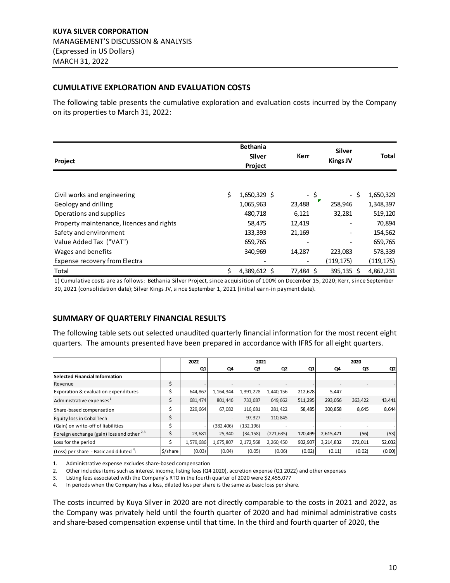#### <span id="page-9-0"></span>**CUMULATIVE EXPLORATION AND EVALUATION COSTS**

The following table presents the cumulative exploration and evaluation costs incurred by the Company on its properties to March 31, 2022:

| Project                                   | <b>Bethania</b><br><b>Silver</b><br>Project |        | Kerr      | <b>Silver</b><br><b>Kings JV</b> |      | <b>Total</b> |
|-------------------------------------------|---------------------------------------------|--------|-----------|----------------------------------|------|--------------|
|                                           |                                             |        |           |                                  |      |              |
| Civil works and engineering               | \$<br>$1,650,329$ \$                        |        | - \$      |                                  | - \$ | 1,650,329    |
| Geology and drilling                      | 1,065,963                                   | 23,488 |           | 258,946                          |      | 1,348,397    |
| Operations and supplies                   | 480,718                                     | 6,121  |           | 32,281                           |      | 519,120      |
| Property maintenance, licences and rights | 58,475                                      | 12,419 |           | $\qquad \qquad \blacksquare$     |      | 70,894       |
| Safety and environment                    | 133,393                                     | 21,169 |           | $\overline{\phantom{a}}$         |      | 154,562      |
| Value Added Tax ("VAT")                   | 659,765                                     |        |           | $\qquad \qquad \blacksquare$     |      | 659,765      |
| Wages and benefits                        | 340,969                                     | 14,287 |           | 223,083                          |      | 578,339      |
| Expense recovery from Electra             |                                             |        |           | (119,175)                        |      | (119, 175)   |
| Total                                     | \$<br>4,389,612 \$                          |        | 77,484 \$ | 395,135 \$                       |      | 4,862,231    |

1) Cumulative costs are as follows: Bethania Silver Project, since acquisition of 100% on December 15, 2020; Kerr, since September 30, 2021 (consolidation date); Silver Kings JV, since September 1, 2021 (initial earn-in payment date).

### <span id="page-9-1"></span>**SUMMARY OF QUARTERLY FINANCIAL RESULTS**

The following table sets out selected unaudited quarterly financial information for the most recent eight quarters. The amounts presented have been prepared in accordance with IFRS for all eight quarters.

|                                                 |          | 2022      |                          | 2021       |                |         |                          | 2020                     |        |
|-------------------------------------------------|----------|-----------|--------------------------|------------|----------------|---------|--------------------------|--------------------------|--------|
|                                                 |          | Q1        | Q4                       | Q3         | Q <sub>2</sub> | Q1      | Q4                       | Q3                       | Q2     |
| <b>Selected Financial Information</b>           |          |           |                          |            |                |         |                          |                          |        |
| Revenue                                         | \$       |           |                          |            |                |         | $\overline{\phantom{a}}$ | $\overline{\phantom{a}}$ |        |
| Exporation & evaluation expenditures            | Ś        | 644,867   | 1,164,344                | 1,391,228  | 1,440,156      | 212,628 | 5,447                    |                          |        |
| Administrative expenses <sup>1</sup>            | \$       | 681,474   | 801,446                  | 733,687    | 649,662        | 511,295 | 293,056                  | 363,422                  | 43,441 |
| Share-based compensation                        | Ś        | 229,664   | 67,082                   | 116,681    | 281,422        | 58,485  | 300,858                  | 8,645                    | 8,644  |
| Equity loss in CobalTech                        | \$       |           | $\overline{\phantom{a}}$ | 97,327     | 110,845        |         |                          |                          |        |
| (Gain) on write-off of liabilities              | \$       |           | (382, 406)               | (132, 196) |                |         |                          |                          |        |
| Foreign exchange (gain) loss and other $^{2,3}$ | Ś        | 23.681    | 25.340                   | (34, 158)  | (221, 635)     | 120.499 | 2,615,471                | (56)                     | (53)   |
| Loss for the period                             |          | 1,579,686 | 1,675,807                | 2,172,568  | 2,260,450      | 902,907 | 3,214,832                | 372,011                  | 52,032 |
| (Loss) per share - Basic and diluted $4$ :      | \$/share | (0.03)    | (0.04)                   | (0.05)     | (0.06)         | (0.02)  | (0.11)                   | (0.02)                   | (0.00) |

1. Administrative expense excludes share-based compensation

2. Other includes items such as interest income, listing fees (Q4 2020), accretion expense (Q1 2022) and other expenses

3. Listing fees associated with the Company's RTO in the fourth quarter of 2020 were \$2,455,077

4. In periods when the Company has a loss, diluted loss per share is the same as basic loss per share.

The costs incurred by Kuya Silver in 2020 are not directly comparable to the costs in 2021 and 2022, as the Company was privately held until the fourth quarter of 2020 and had minimal administrative costs and share-based compensation expense until that time. In the third and fourth quarter of 2020, the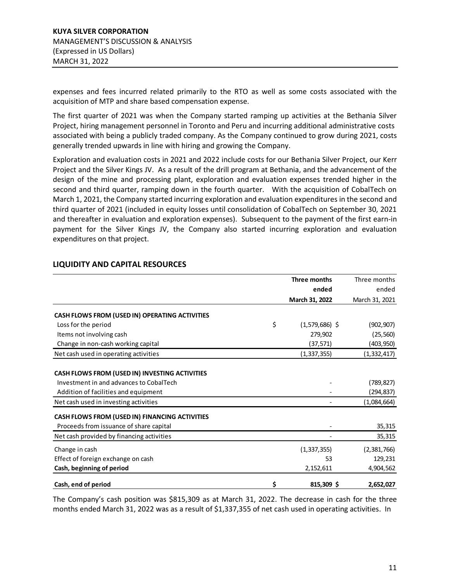expenses and fees incurred related primarily to the RTO as well as some costs associated with the acquisition of MTP and share based compensation expense.

The first quarter of 2021 was when the Company started ramping up activities at the Bethania Silver Project, hiring management personnel in Toronto and Peru and incurring additional administrative costs associated with being a publicly traded company. As the Company continued to grow during 2021, costs generally trended upwards in line with hiring and growing the Company.

Exploration and evaluation costs in 2021 and 2022 include costs for our Bethania Silver Project, our Kerr Project and the Silver Kings JV. As a result of the drill program at Bethania, and the advancement of the design of the mine and processing plant, exploration and evaluation expenses trended higher in the second and third quarter, ramping down in the fourth quarter. With the acquisition of CobalTech on March 1, 2021, the Company started incurring exploration and evaluation expenditures in the second and third quarter of 2021 (included in equity losses until consolidation of CobalTech on September 30, 2021 and thereafter in evaluation and exploration expenses). Subsequent to the payment of the first earn-in payment for the Silver Kings JV, the Company also started incurring exploration and evaluation expenditures on that project.

|                                                | Three months           | Three months   |
|------------------------------------------------|------------------------|----------------|
|                                                | ended                  | ended          |
|                                                | March 31, 2022         | March 31, 2021 |
| CASH FLOWS FROM (USED IN) OPERATING ACTIVITIES |                        |                |
| Loss for the period                            | \$<br>$(1,579,686)$ \$ | (902, 907)     |
| Items not involving cash                       | 279,902                | (25, 560)      |
| Change in non-cash working capital             | (37, 571)              | (403,950)      |
| Net cash used in operating activities          | (1, 337, 355)          | (1, 332, 417)  |
| CASH FLOWS FROM (USED IN) INVESTING ACTIVITIES |                        |                |
| Investment in and advances to CobalTech        |                        | (789, 827)     |
| Addition of facilities and equipment           |                        | (294,837)      |
| Net cash used in investing activities          |                        | (1,084,664)    |
| CASH FLOWS FROM (USED IN) FINANCING ACTIVITIES |                        |                |
| Proceeds from issuance of share capital        |                        | 35,315         |
| Net cash provided by financing activities      |                        | 35,315         |
| Change in cash                                 | (1, 337, 355)          | (2,381,766)    |
| Effect of foreign exchange on cash             | 53                     | 129,231        |
| Cash, beginning of period                      | 2,152,611              | 4,904,562      |
| Cash, end of period                            | \$<br>815,309\$        | 2,652,027      |

# <span id="page-10-0"></span>**LIQUIDITY AND CAPITAL RESOURCES**

The Company's cash position was \$815,309 as at March 31, 2022. The decrease in cash for the three months ended March 31, 2022 was as a result of \$1,337,355 of net cash used in operating activities. In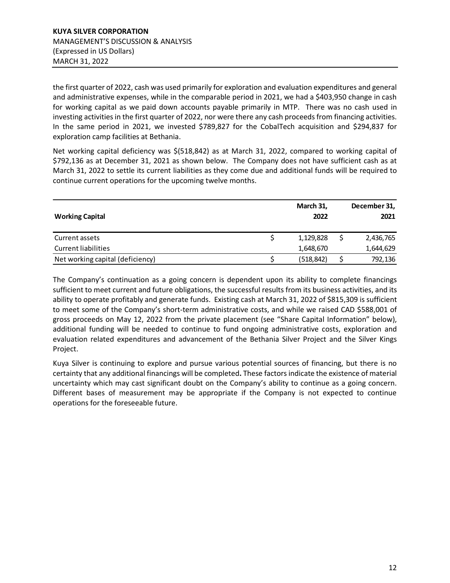the first quarter of 2022, cash was used primarily for exploration and evaluation expenditures and general and administrative expenses, while in the comparable period in 2021, we had a \$403,950 change in cash for working capital as we paid down accounts payable primarily in MTP. There was no cash used in investing activities in the first quarter of 2022, nor were there any cash proceeds from financing activities. In the same period in 2021, we invested \$789,827 for the CobalTech acquisition and \$294,837 for exploration camp facilities at Bethania.

Net working capital deficiency was \$(518,842) as at March 31, 2022, compared to working capital of \$792,136 as at December 31, 2021 as shown below. The Company does not have sufficient cash as at March 31, 2022 to settle its current liabilities as they come due and additional funds will be required to continue current operations for the upcoming twelve months.

| <b>Working Capital</b>           | March 31,<br>2022 | December 31,<br>2021 |
|----------------------------------|-------------------|----------------------|
| Current assets                   | 1,129,828         | 2,436,765            |
| <b>Current liabilities</b>       | 1,648,670         | 1,644,629            |
| Net working capital (deficiency) | (518, 842)        | 792,136              |

The Company's continuation as a going concern is dependent upon its ability to complete financings sufficient to meet current and future obligations, the successful results from its business activities, and its ability to operate profitably and generate funds. Existing cash at March 31, 2022 of \$815,309 is sufficient to meet some of the Company's short-term administrative costs, and while we raised CAD \$588,001 of gross proceeds on May 12, 2022 from the private placement (see "Share Capital Information" below), additional funding will be needed to continue to fund ongoing administrative costs, exploration and evaluation related expenditures and advancement of the Bethania Silver Project and the Silver Kings Project.

Kuya Silver is continuing to explore and pursue various potential sources of financing, but there is no certainty that any additional financings will be completed**.** These factors indicate the existence of material uncertainty which may cast significant doubt on the Company's ability to continue as a going concern. Different bases of measurement may be appropriate if the Company is not expected to continue operations for the foreseeable future.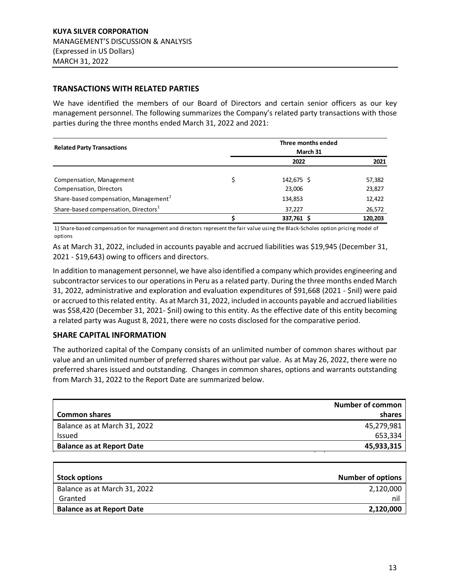### <span id="page-12-0"></span>**TRANSACTIONS WITH RELATED PARTIES**

We have identified the members of our Board of Directors and certain senior officers as our key management personnel. The following summarizes the Company's related party transactions with those parties during the three months ended March 31, 2022 and 2021:

| <b>Related Party Transactions</b>                 | Three months ended<br>March 31 |         |
|---------------------------------------------------|--------------------------------|---------|
|                                                   | 2022                           | 2021    |
| Compensation, Management                          | 142,675 \$                     | 57,382  |
| Compensation, Directors                           | 23,006                         | 23,827  |
| Share-based compensation, Management <sup>1</sup> | 134,853                        | 12,422  |
| Share-based compensation, Directors <sup>1</sup>  | 37,227                         | 26,572  |
|                                                   | 337,761 \$                     | 120,203 |

1) Share-based compensation for management and directors represent the fair value using the Black-Scholes option pricing model of options

As at March 31, 2022, included in accounts payable and accrued liabilities was \$19,945 (December 31, 2021 - \$19,643) owing to officers and directors.

In addition to management personnel, we have also identified a company which provides engineering and subcontractor services to our operations in Peru as a related party. During the three months ended March 31, 2022, administrative and exploration and evaluation expenditures of \$91,668 (2021 - \$nil) were paid or accrued to thisrelated entity. As at March 31, 2022, included in accounts payable and accrued liabilities was \$58,420 (December 31, 2021- \$nil) owing to this entity. As the effective date of this entity becoming a related party was August 8, 2021, there were no costs disclosed for the comparative period.

# **SHARE CAPITAL INFORMATION**

The authorized capital of the Company consists of an unlimited number of common shares without par value and an unlimited number of preferred shares without par value. As at May 26, 2022, there were no preferred shares issued and outstanding. Changes in common shares, options and warrants outstanding from March 31, 2022 to the Report Date are summarized below.

| <b>Number of common</b> |
|-------------------------|
| shares                  |
| 45,279,981              |
| 653,334                 |
| 45,933,315              |
|                         |

| <b>Stock options</b>             | <b>Number of options</b> |
|----------------------------------|--------------------------|
| Balance as at March 31, 2022     | 2,120,000                |
| Granted                          | ni                       |
| <b>Balance as at Report Date</b> | 2,120,000                |
|                                  |                          |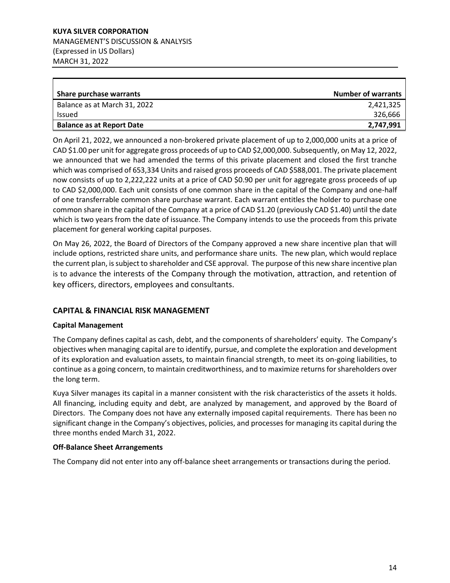**KUYA SILVER CORPORATION** MANAGEMENT'S DISCUSSION & ANALYSIS (Expressed in US Dollars) MARCH 31, 2022

| Share purchase warrants          | <b>Number of warrants</b> |
|----------------------------------|---------------------------|
| Balance as at March 31, 2022     | 2,421,325                 |
| <b>Issued</b>                    | 326.666                   |
| <b>Balance as at Report Date</b> | 2,747,991                 |

On April 21, 2022, we announced a non-brokered private placement of up to 2,000,000 units at a price of CAD \$1.00 per unit for aggregate gross proceeds of up to CAD \$2,000,000. Subsequently, on May 12, 2022, we announced that we had amended the terms of this private placement and closed the first tranche which was comprised of 653,334 Units and raised gross proceeds of CAD \$588,001. The private placement now consists of up to 2,222,222 units at a price of CAD \$0.90 per unit for aggregate gross proceeds of up to CAD \$2,000,000. Each unit consists of one common share in the capital of the Company and one-half of one transferrable common share purchase warrant. Each warrant entitles the holder to purchase one common share in the capital of the Company at a price of CAD \$1.20 (previously CAD \$1.40) until the date which is two years from the date of issuance. The Company intends to use the proceeds from this private placement for general working capital purposes.

On May 26, 2022, the Board of Directors of the Company approved a new share incentive plan that will include options, restricted share units, and performance share units. The new plan, which would replace the current plan, is subject to shareholder and CSE approval. The purpose of this new share incentive plan is to advance the interests of the Company through the motivation, attraction, and retention of key officers, directors, employees and consultants.

# <span id="page-13-0"></span>**CAPITAL & FINANCIAL RISK MANAGEMENT**

### **Capital Management**

The Company defines capital as cash, debt, and the components of shareholders' equity. The Company's objectives when managing capital are to identify, pursue, and complete the exploration and development of its exploration and evaluation assets, to maintain financial strength, to meet its on-going liabilities, to continue as a going concern, to maintain creditworthiness, and to maximize returns for shareholders over the long term.

Kuya Silver manages its capital in a manner consistent with the risk characteristics of the assets it holds. All financing, including equity and debt, are analyzed by management, and approved by the Board of Directors. The Company does not have any externally imposed capital requirements. There has been no significant change in the Company's objectives, policies, and processes for managing its capital during the three months ended March 31, 2022.

### **Off-Balance Sheet Arrangements**

The Company did not enter into any off-balance sheet arrangements or transactions during the period.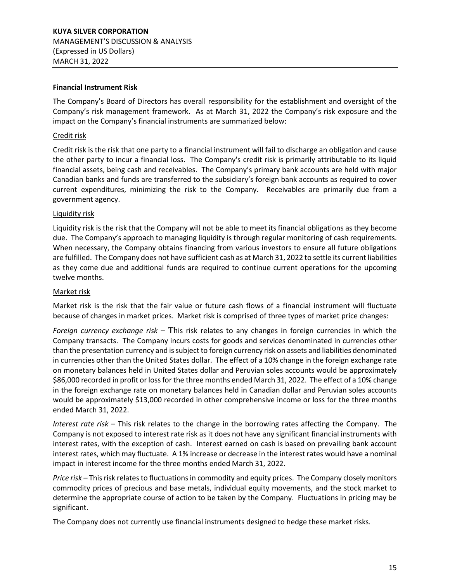#### **Financial Instrument Risk**

The Company's Board of Directors has overall responsibility for the establishment and oversight of the Company's risk management framework. As at March 31, 2022 the Company's risk exposure and the impact on the Company's financial instruments are summarized below:

#### Credit risk

Credit risk is the risk that one party to a financial instrument will fail to discharge an obligation and cause the other party to incur a financial loss. The Company's credit risk is primarily attributable to its liquid financial assets, being cash and receivables. The Company's primary bank accounts are held with major Canadian banks and funds are transferred to the subsidiary's foreign bank accounts as required to cover current expenditures, minimizing the risk to the Company. Receivables are primarily due from a government agency.

#### Liquidity risk

Liquidity risk is the risk that the Company will not be able to meet its financial obligations as they become due. The Company's approach to managing liquidity is through regular monitoring of cash requirements. When necessary, the Company obtains financing from various investors to ensure all future obligations are fulfilled. The Company does not have sufficient cash as at March 31, 2022 to settle its current liabilities as they come due and additional funds are required to continue current operations for the upcoming twelve months.

#### Market risk

Market risk is the risk that the fair value or future cash flows of a financial instrument will fluctuate because of changes in market prices. Market risk is comprised of three types of market price changes:

*Foreign currency exchange risk* – This risk relates to any changes in foreign currencies in which the Company transacts. The Company incurs costs for goods and services denominated in currencies other than the presentation currency and is subject to foreign currency risk on assets and liabilities denominated in currencies other than the United States dollar. The effect of a 10% change in the foreign exchange rate on monetary balances held in United States dollar and Peruvian soles accounts would be approximately \$86,000 recorded in profit or loss for the three months ended March 31, 2022. The effect of a 10% change in the foreign exchange rate on monetary balances held in Canadian dollar and Peruvian soles accounts would be approximately \$13,000 recorded in other comprehensive income or loss for the three months ended March 31, 2022.

*Interest rate risk* – This risk relates to the change in the borrowing rates affecting the Company. The Company is not exposed to interest rate risk as it does not have any significant financial instruments with interest rates, with the exception of cash. Interest earned on cash is based on prevailing bank account interest rates, which may fluctuate. A 1% increase or decrease in the interest rates would have a nominal impact in interest income for the three months ended March 31, 2022.

*Price risk* – This risk relates to fluctuations in commodity and equity prices. The Company closely monitors commodity prices of precious and base metals, individual equity movements, and the stock market to determine the appropriate course of action to be taken by the Company. Fluctuations in pricing may be significant.

The Company does not currently use financial instruments designed to hedge these market risks.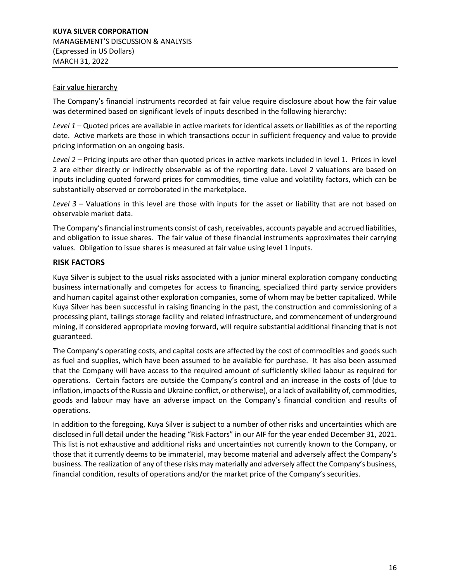#### Fair value hierarchy

The Company's financial instruments recorded at fair value require disclosure about how the fair value was determined based on significant levels of inputs described in the following hierarchy:

*Level 1* – Quoted prices are available in active markets for identical assets or liabilities as of the reporting date. Active markets are those in which transactions occur in sufficient frequency and value to provide pricing information on an ongoing basis.

*Level 2* – Pricing inputs are other than quoted prices in active markets included in level 1. Prices in level 2 are either directly or indirectly observable as of the reporting date. Level 2 valuations are based on inputs including quoted forward prices for commodities, time value and volatility factors, which can be substantially observed or corroborated in the marketplace.

*Level 3* – Valuations in this level are those with inputs for the asset or liability that are not based on observable market data.

The Company's financial instruments consist of cash, receivables, accounts payable and accrued liabilities, and obligation to issue shares. The fair value of these financial instruments approximates their carrying values. Obligation to issue shares is measured at fair value using level 1 inputs.

# <span id="page-15-0"></span>**RISK FACTORS**

Kuya Silver is subject to the usual risks associated with a junior mineral exploration company conducting business internationally and competes for access to financing, specialized third party service providers and human capital against other exploration companies, some of whom may be better capitalized. While Kuya Silver has been successful in raising financing in the past, the construction and commissioning of a processing plant, tailings storage facility and related infrastructure, and commencement of underground mining, if considered appropriate moving forward, will require substantial additional financing that is not guaranteed.

The Company's operating costs, and capital costs are affected by the cost of commodities and goods such as fuel and supplies, which have been assumed to be available for purchase. It has also been assumed that the Company will have access to the required amount of sufficiently skilled labour as required for operations. Certain factors are outside the Company's control and an increase in the costs of (due to inflation, impacts of the Russia and Ukraine conflict, or otherwise), or a lack of availability of, commodities, goods and labour may have an adverse impact on the Company's financial condition and results of operations.

In addition to the foregoing, Kuya Silver is subject to a number of other risks and uncertainties which are disclosed in full detail under the heading "Risk Factors" in our AIF for the year ended December 31, 2021. This list is not exhaustive and additional risks and uncertainties not currently known to the Company, or those that it currently deems to be immaterial, may become material and adversely affect the Company's business. The realization of any of these risks may materially and adversely affect the Company's business, financial condition, results of operations and/or the market price of the Company's securities.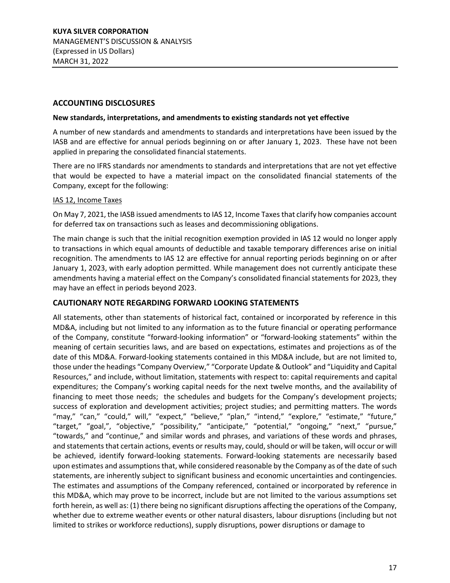### <span id="page-16-0"></span>**ACCOUNTING DISCLOSURES**

#### **New standards, interpretations, and amendments to existing standards not yet effective**

A number of new standards and amendments to standards and interpretations have been issued by the IASB and are effective for annual periods beginning on or after January 1, 2023. These have not been applied in preparing the consolidated financial statements.

There are no IFRS standards nor amendments to standards and interpretations that are not yet effective that would be expected to have a material impact on the consolidated financial statements of the Company, except for the following:

### IAS 12, Income Taxes

On May 7, 2021, the IASB issued amendments to IAS 12, Income Taxes that clarify how companies account for deferred tax on transactions such as leases and decommissioning obligations.

The main change is such that the initial recognition exemption provided in IAS 12 would no longer apply to transactions in which equal amounts of deductible and taxable temporary differences arise on initial recognition. The amendments to IAS 12 are effective for annual reporting periods beginning on or after January 1, 2023, with early adoption permitted. While management does not currently anticipate these amendments having a material effect on the Company's consolidated financial statements for 2023, they may have an effect in periods beyond 2023.

### <span id="page-16-1"></span>**CAUTIONARY NOTE REGARDING FORWARD LOOKING STATEMENTS**

All statements, other than statements of historical fact, contained or incorporated by reference in this MD&A, including but not limited to any information as to the future financial or operating performance of the Company, constitute "forward-looking information" or "forward-looking statements" within the meaning of certain securities laws, and are based on expectations, estimates and projections as of the date of this MD&A. Forward-looking statements contained in this MD&A include, but are not limited to, those under the headings "Company Overview," "Corporate Update & Outlook" and "Liquidity and Capital Resources," and include, without limitation, statements with respect to: capital requirements and capital expenditures; the Company's working capital needs for the next twelve months, and the availability of financing to meet those needs; the schedules and budgets for the Company's development projects; success of exploration and development activities; project studies; and permitting matters. The words "may," "can," "could," will," "expect," "believe," "plan," "intend," "explore," "estimate," "future," "target," "goal,", "objective," "possibility," "anticipate," "potential," "ongoing," "next," "pursue," "towards," and "continue," and similar words and phrases, and variations of these words and phrases, and statements that certain actions, events or results may, could, should or will be taken, will occur or will be achieved, identify forward-looking statements. Forward-looking statements are necessarily based upon estimates and assumptions that, while considered reasonable by the Company as of the date of such statements, are inherently subject to significant business and economic uncertainties and contingencies. The estimates and assumptions of the Company referenced, contained or incorporated by reference in this MD&A, which may prove to be incorrect, include but are not limited to the various assumptions set forth herein, as well as: (1) there being no significant disruptions affecting the operations of the Company, whether due to extreme weather events or other natural disasters, labour disruptions (including but not limited to strikes or workforce reductions), supply disruptions, power disruptions or damage to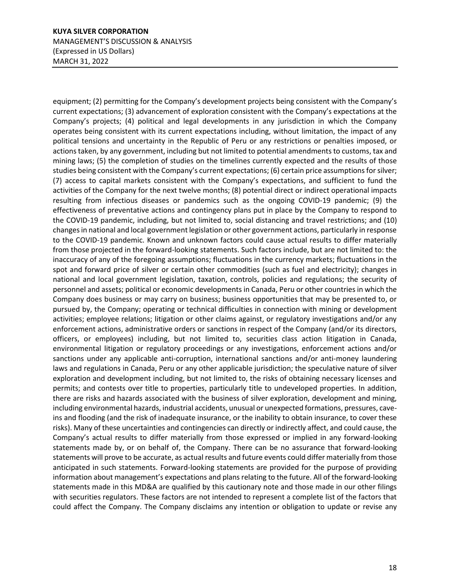equipment; (2) permitting for the Company's development projects being consistent with the Company's current expectations; (3) advancement of exploration consistent with the Company's expectations at the Company's projects; (4) political and legal developments in any jurisdiction in which the Company operates being consistent with its current expectations including, without limitation, the impact of any political tensions and uncertainty in the Republic of Peru or any restrictions or penalties imposed, or actions taken, by any government, including but not limited to potential amendments to customs, tax and mining laws; (5) the completion of studies on the timelines currently expected and the results of those studies being consistent with the Company's current expectations; (6) certain price assumptions for silver; (7) access to capital markets consistent with the Company's expectations, and sufficient to fund the activities of the Company for the next twelve months; (8) potential direct or indirect operational impacts resulting from infectious diseases or pandemics such as the ongoing COVID-19 pandemic; (9) the effectiveness of preventative actions and contingency plans put in place by the Company to respond to the COVID-19 pandemic, including, but not limited to, social distancing and travel restrictions; and (10) changes in national and local government legislation or other government actions, particularly in response to the COVID-19 pandemic. Known and unknown factors could cause actual results to differ materially from those projected in the forward-looking statements. Such factors include, but are not limited to: the inaccuracy of any of the foregoing assumptions; fluctuations in the currency markets; fluctuations in the spot and forward price of silver or certain other commodities (such as fuel and electricity); changes in national and local government legislation, taxation, controls, policies and regulations; the security of personnel and assets; political or economic developments in Canada, Peru or other countries in which the Company does business or may carry on business; business opportunities that may be presented to, or pursued by, the Company; operating or technical difficulties in connection with mining or development activities; employee relations; litigation or other claims against, or regulatory investigations and/or any enforcement actions, administrative orders or sanctions in respect of the Company (and/or its directors, officers, or employees) including, but not limited to, securities class action litigation in Canada, environmental litigation or regulatory proceedings or any investigations, enforcement actions and/or sanctions under any applicable anti-corruption, international sanctions and/or anti-money laundering laws and regulations in Canada, Peru or any other applicable jurisdiction; the speculative nature of silver exploration and development including, but not limited to, the risks of obtaining necessary licenses and permits; and contests over title to properties, particularly title to undeveloped properties. In addition, there are risks and hazards associated with the business of silver exploration, development and mining, including environmental hazards, industrial accidents, unusual or unexpected formations, pressures, caveins and flooding (and the risk of inadequate insurance, or the inability to obtain insurance, to cover these risks). Many of these uncertainties and contingencies can directly or indirectly affect, and could cause, the Company's actual results to differ materially from those expressed or implied in any forward-looking statements made by, or on behalf of, the Company. There can be no assurance that forward-looking statements will prove to be accurate, as actual results and future events could differ materially from those anticipated in such statements. Forward-looking statements are provided for the purpose of providing information about management's expectations and plans relating to the future. All of the forward-looking statements made in this MD&A are qualified by this cautionary note and those made in our other filings with securities regulators. These factors are not intended to represent a complete list of the factors that could affect the Company. The Company disclaims any intention or obligation to update or revise any